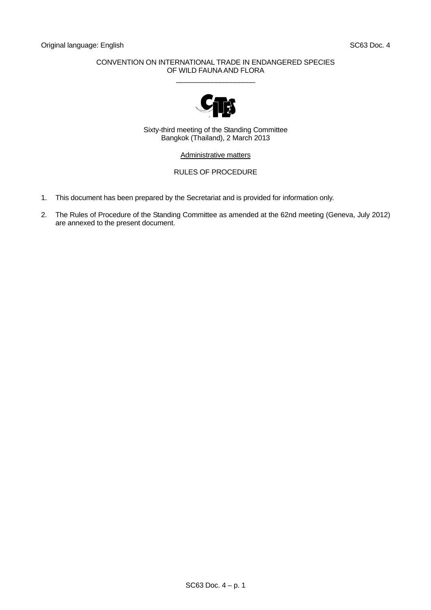## CONVENTION ON INTERNATIONAL TRADE IN ENDANGERED SPECIES OF WILD FAUNA AND FLORA  $\_$



Sixty-third meeting of the Standing Committee Bangkok (Thailand), 2 March 2013

Administrative matters

## RULES OF PROCEDURE

- 1. This document has been prepared by the Secretariat and is provided for information only.
- 2. The Rules of Procedure of the Standing Committee as amended at the 62nd meeting (Geneva, July 2012) are annexed to the present document.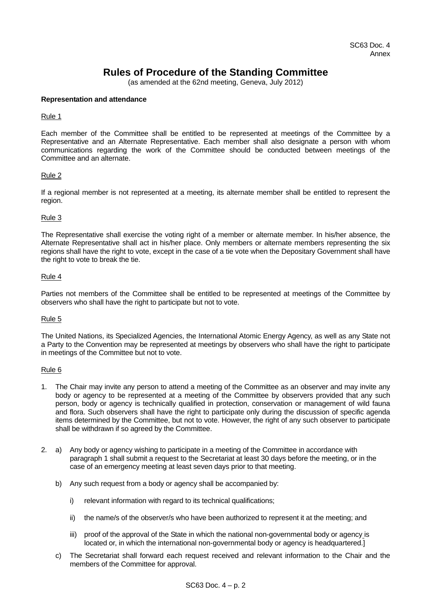# **Rules of Procedure of the Standing Committee**

(as amended at the 62nd meeting, Geneva, July 2012)

## **Representation and attendance**

## Rule 1

Each member of the Committee shall be entitled to be represented at meetings of the Committee by a Representative and an Alternate Representative. Each member shall also designate a person with whom communications regarding the work of the Committee should be conducted between meetings of the Committee and an alternate.

## Rule 2

If a regional member is not represented at a meeting, its alternate member shall be entitled to represent the region.

## Rule 3

The Representative shall exercise the voting right of a member or alternate member. In his/her absence, the Alternate Representative shall act in his/her place. Only members or alternate members representing the six regions shall have the right to vote, except in the case of a tie vote when the Depositary Government shall have the right to vote to break the tie.

#### Rule 4

Parties not members of the Committee shall be entitled to be represented at meetings of the Committee by observers who shall have the right to participate but not to vote.

#### Rule 5

The United Nations, its Specialized Agencies, the International Atomic Energy Agency, as well as any State not a Party to the Convention may be represented at meetings by observers who shall have the right to participate in meetings of the Committee but not to vote.

#### Rule 6

- 1. The Chair may invite any person to attend a meeting of the Committee as an observer and may invite any body or agency to be represented at a meeting of the Committee by observers provided that any such person, body or agency is technically qualified in protection, conservation or management of wild fauna and flora. Such observers shall have the right to participate only during the discussion of specific agenda items determined by the Committee, but not to vote. However, the right of any such observer to participate shall be withdrawn if so agreed by the Committee.
- 2. a) Any body or agency wishing to participate in a meeting of the Committee in accordance with paragraph 1 shall submit a request to the Secretariat at least 30 days before the meeting, or in the case of an emergency meeting at least seven days prior to that meeting.
	- b) Any such request from a body or agency shall be accompanied by:
		- i) relevant information with regard to its technical qualifications:
		- ii) the name/s of the observer/s who have been authorized to represent it at the meeting; and
		- iii) proof of the approval of the State in which the national non-governmental body or agency is located or, in which the international non-governmental body or agency is headquartered.]
	- c) The Secretariat shall forward each request received and relevant information to the Chair and the members of the Committee for approval.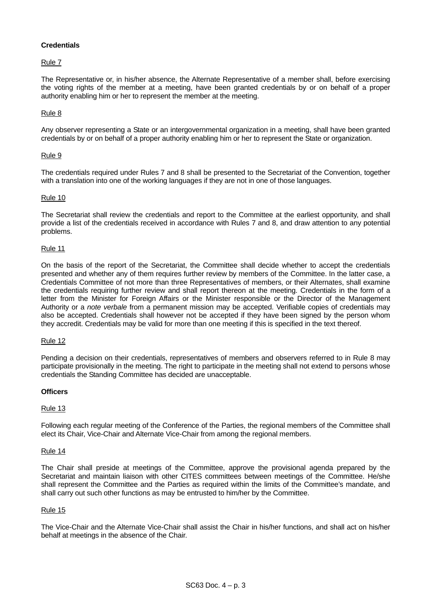## **Credentials**

## Rule 7

The Representative or, in his/her absence, the Alternate Representative of a member shall, before exercising the voting rights of the member at a meeting, have been granted credentials by or on behalf of a proper authority enabling him or her to represent the member at the meeting.

## Rule 8

Any observer representing a State or an intergovernmental organization in a meeting, shall have been granted credentials by or on behalf of a proper authority enabling him or her to represent the State or organization.

## Rule 9

The credentials required under Rules 7 and 8 shall be presented to the Secretariat of the Convention, together with a translation into one of the working languages if they are not in one of those languages.

#### Rule 10

The Secretariat shall review the credentials and report to the Committee at the earliest opportunity, and shall provide a list of the credentials received in accordance with Rules 7 and 8, and draw attention to any potential problems.

#### Rule 11

On the basis of the report of the Secretariat, the Committee shall decide whether to accept the credentials presented and whether any of them requires further review by members of the Committee. In the latter case, a Credentials Committee of not more than three Representatives of members, or their Alternates, shall examine the credentials requiring further review and shall report thereon at the meeting. Credentials in the form of a letter from the Minister for Foreign Affairs or the Minister responsible or the Director of the Management Authority or a *note verbale* from a permanent mission may be accepted. Verifiable copies of credentials may also be accepted. Credentials shall however not be accepted if they have been signed by the person whom they accredit. Credentials may be valid for more than one meeting if this is specified in the text thereof.

#### Rule 12

Pending a decision on their credentials, representatives of members and observers referred to in Rule 8 may participate provisionally in the meeting. The right to participate in the meeting shall not extend to persons whose credentials the Standing Committee has decided are unacceptable.

#### **Officers**

#### Rule 13

Following each regular meeting of the Conference of the Parties, the regional members of the Committee shall elect its Chair, Vice-Chair and Alternate Vice-Chair from among the regional members.

#### Rule 14

The Chair shall preside at meetings of the Committee, approve the provisional agenda prepared by the Secretariat and maintain liaison with other CITES committees between meetings of the Committee. He/she shall represent the Committee and the Parties as required within the limits of the Committee's mandate, and shall carry out such other functions as may be entrusted to him/her by the Committee.

#### Rule 15

The Vice-Chair and the Alternate Vice-Chair shall assist the Chair in his/her functions, and shall act on his/her behalf at meetings in the absence of the Chair.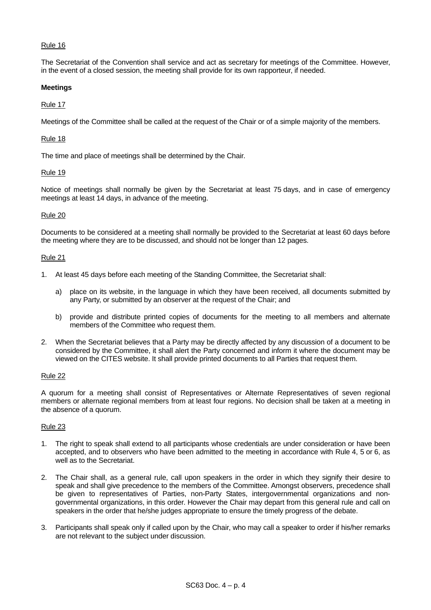## Rule 16

The Secretariat of the Convention shall service and act as secretary for meetings of the Committee. However, in the event of a closed session, the meeting shall provide for its own rapporteur, if needed.

## **Meetings**

## Rule 17

Meetings of the Committee shall be called at the request of the Chair or of a simple majority of the members.

## Rule 18

The time and place of meetings shall be determined by the Chair.

## Rule 19

Notice of meetings shall normally be given by the Secretariat at least 75 days, and in case of emergency meetings at least 14 days, in advance of the meeting.

## Rule 20

Documents to be considered at a meeting shall normally be provided to the Secretariat at least 60 days before the meeting where they are to be discussed, and should not be longer than 12 pages.

#### Rule 21

- 1. At least 45 days before each meeting of the Standing Committee, the Secretariat shall:
	- a) place on its website, in the language in which they have been received, all documents submitted by any Party, or submitted by an observer at the request of the Chair; and
	- b) provide and distribute printed copies of documents for the meeting to all members and alternate members of the Committee who request them.
- 2. When the Secretariat believes that a Party may be directly affected by any discussion of a document to be considered by the Committee, it shall alert the Party concerned and inform it where the document may be viewed on the CITES website. It shall provide printed documents to all Parties that request them.

#### Rule 22

A quorum for a meeting shall consist of Representatives or Alternate Representatives of seven regional members or alternate regional members from at least four regions. No decision shall be taken at a meeting in the absence of a quorum.

#### Rule 23

- 1. The right to speak shall extend to all participants whose credentials are under consideration or have been accepted, and to observers who have been admitted to the meeting in accordance with Rule 4, 5 or 6, as well as to the Secretariat.
- 2. The Chair shall, as a general rule, call upon speakers in the order in which they signify their desire to speak and shall give precedence to the members of the Committee. Amongst observers, precedence shall be given to representatives of Parties, non-Party States, intergovernmental organizations and nongovernmental organizations, in this order. However the Chair may depart from this general rule and call on speakers in the order that he/she judges appropriate to ensure the timely progress of the debate.
- 3. Participants shall speak only if called upon by the Chair, who may call a speaker to order if his/her remarks are not relevant to the subject under discussion.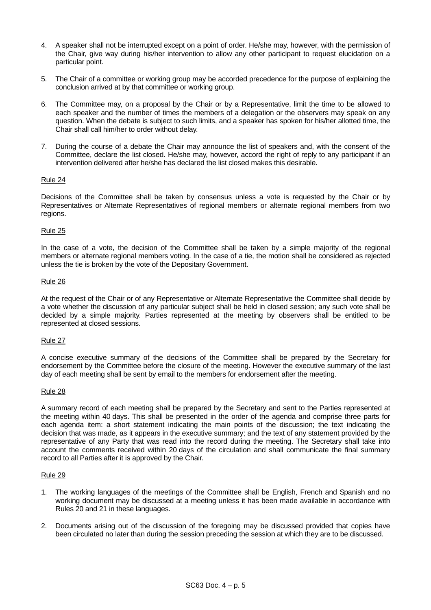- 4. A speaker shall not be interrupted except on a point of order. He/she may, however, with the permission of the Chair, give way during his/her intervention to allow any other participant to request elucidation on a particular point.
- 5. The Chair of a committee or working group may be accorded precedence for the purpose of explaining the conclusion arrived at by that committee or working group.
- 6. The Committee may, on a proposal by the Chair or by a Representative, limit the time to be allowed to each speaker and the number of times the members of a delegation or the observers may speak on any question. When the debate is subject to such limits, and a speaker has spoken for his/her allotted time, the Chair shall call him/her to order without delay.
- 7. During the course of a debate the Chair may announce the list of speakers and, with the consent of the Committee, declare the list closed. He/she may, however, accord the right of reply to any participant if an intervention delivered after he/she has declared the list closed makes this desirable.

## Rule 24

Decisions of the Committee shall be taken by consensus unless a vote is requested by the Chair or by Representatives or Alternate Representatives of regional members or alternate regional members from two regions.

## Rule 25

In the case of a vote, the decision of the Committee shall be taken by a simple majority of the regional members or alternate regional members voting. In the case of a tie, the motion shall be considered as rejected unless the tie is broken by the vote of the Depositary Government.

## Rule 26

At the request of the Chair or of any Representative or Alternate Representative the Committee shall decide by a vote whether the discussion of any particular subject shall be held in closed session; any such vote shall be decided by a simple majority. Parties represented at the meeting by observers shall be entitled to be represented at closed sessions.

#### Rule 27

A concise executive summary of the decisions of the Committee shall be prepared by the Secretary for endorsement by the Committee before the closure of the meeting. However the executive summary of the last day of each meeting shall be sent by email to the members for endorsement after the meeting.

#### Rule 28

A summary record of each meeting shall be prepared by the Secretary and sent to the Parties represented at the meeting within 40 days. This shall be presented in the order of the agenda and comprise three parts for each agenda item: a short statement indicating the main points of the discussion; the text indicating the decision that was made, as it appears in the executive summary; and the text of any statement provided by the representative of any Party that was read into the record during the meeting. The Secretary shall take into account the comments received within 20 days of the circulation and shall communicate the final summary record to all Parties after it is approved by the Chair.

#### Rule 29

- 1. The working languages of the meetings of the Committee shall be English, French and Spanish and no working document may be discussed at a meeting unless it has been made available in accordance with Rules 20 and 21 in these languages.
- 2. Documents arising out of the discussion of the foregoing may be discussed provided that copies have been circulated no later than during the session preceding the session at which they are to be discussed.